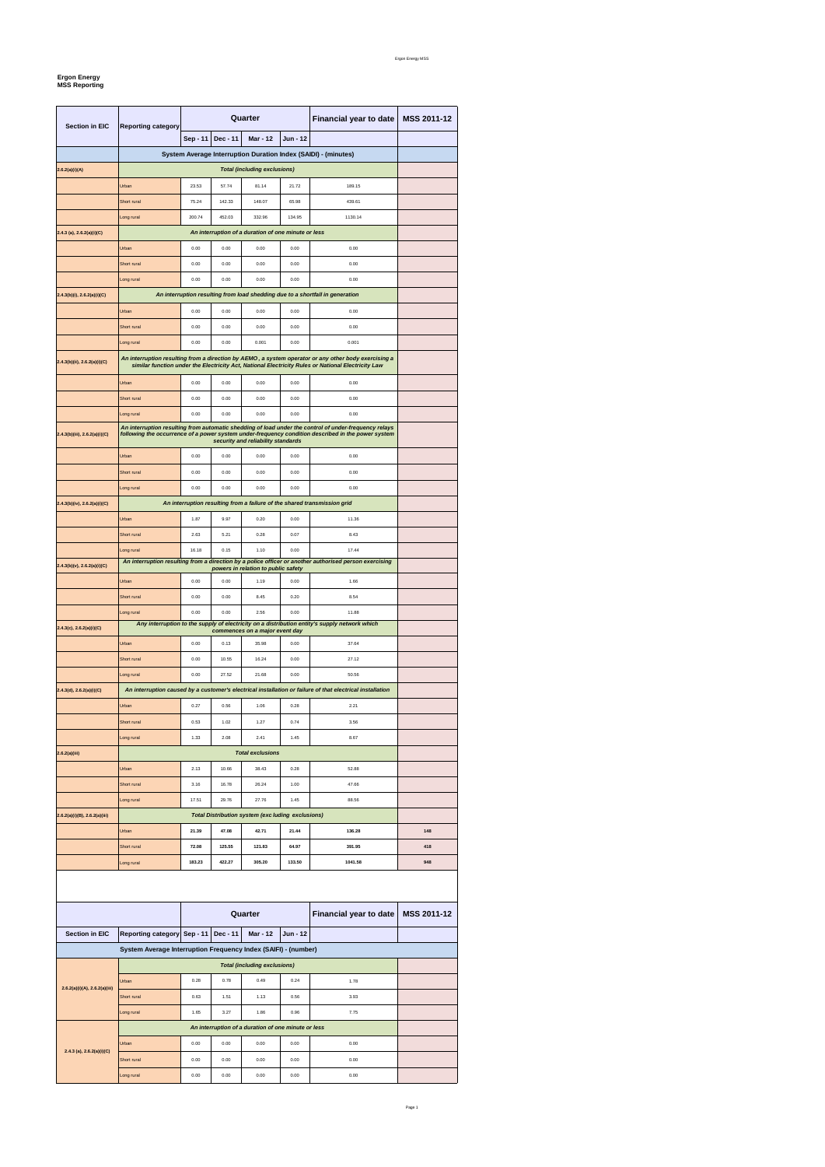Page 1

## **Ergon Energy MSS Reporting**

| <b>Section in EIC</b>                                                                                    | <b>Reporting category</b>           | Quarter  |          |                                                          |          | Financial year to date                                                                                                                                                                                      | <b>MSS 2011-12</b> |  |  |
|----------------------------------------------------------------------------------------------------------|-------------------------------------|----------|----------|----------------------------------------------------------|----------|-------------------------------------------------------------------------------------------------------------------------------------------------------------------------------------------------------------|--------------------|--|--|
|                                                                                                          |                                     | Sep - 11 | Dec - 11 | <b>Mar - 12</b>                                          | Jun - 12 |                                                                                                                                                                                                             |                    |  |  |
|                                                                                                          |                                     |          |          |                                                          |          | System Average Interruption Duration Index (SAIDI) - (minutes)                                                                                                                                              |                    |  |  |
| 2.6.2(a)(i)(A)                                                                                           | <b>Total (including exclusions)</b> |          |          |                                                          |          |                                                                                                                                                                                                             |                    |  |  |
|                                                                                                          | Urban                               | 23.53    | 57.74    | 81.14                                                    | 21.72    | 189.15                                                                                                                                                                                                      |                    |  |  |
|                                                                                                          | Short rural                         | 75.24    | 142.33   | 148.07                                                   | 65.98    | 439.61                                                                                                                                                                                                      |                    |  |  |
|                                                                                                          | Long rural                          | 200.74   | 452.03   | 332.96                                                   | 134.95   | 1130.14                                                                                                                                                                                                     |                    |  |  |
| $2.4.3$ (a), $2.6.2(a)(i)(C)$                                                                            |                                     |          |          | An interruption of a duration of one minute or less      |          |                                                                                                                                                                                                             |                    |  |  |
|                                                                                                          | Urban                               | 0.00     | 0.00     | 0.00                                                     | 0.00     | 0.00                                                                                                                                                                                                        |                    |  |  |
|                                                                                                          | Short rural                         | 0.00     | 0.00     | 0.00                                                     | 0.00     | 0.00                                                                                                                                                                                                        |                    |  |  |
|                                                                                                          | Long rural                          | 0.00     | 0.00     | 0.00                                                     | 0.00     | 0.00                                                                                                                                                                                                        |                    |  |  |
| $2.4.3(b)(i)$ , $2.6.2(a)(i)(C)$                                                                         |                                     |          |          |                                                          |          | An interruption resulting from load shedding due to a shortfall in generation                                                                                                                               |                    |  |  |
|                                                                                                          | Urban                               | 0.00     | 0.00     | 0.00                                                     | 0.00     | 0.00                                                                                                                                                                                                        |                    |  |  |
|                                                                                                          | Short rural                         | 0.00     | 0.00     | 0.00                                                     | 0.00     | 0.00                                                                                                                                                                                                        |                    |  |  |
|                                                                                                          | Long rural                          | 0.00     | 0.00     | 0.001                                                    | 0.00     | 0.001                                                                                                                                                                                                       |                    |  |  |
|                                                                                                          |                                     |          |          |                                                          |          | An interruption resulting from a direction by AEMO, a system operator or any other body exercising a                                                                                                        |                    |  |  |
| 2.4.3(b)(ii), 2.6.2(a)(i)(C)                                                                             |                                     |          |          |                                                          |          | similar function under the Electricity Act, National Electricity Rules or National Electricity Law                                                                                                          |                    |  |  |
|                                                                                                          | Urban                               | 0.00     | 0.00     | 0.00                                                     | 0.00     | 0.00                                                                                                                                                                                                        |                    |  |  |
|                                                                                                          | Short rural                         | 0.00     | 0.00     | 0.00                                                     | 0.00     | 0.00                                                                                                                                                                                                        |                    |  |  |
|                                                                                                          | Long rural                          | 0.00     | 0.00     | 0.00                                                     | 0.00     | 0.00                                                                                                                                                                                                        |                    |  |  |
| 2.4.3(b)(iii), 2.6.2(a)(i)(C)                                                                            |                                     |          |          | security and reliability standards                       |          | An interruption resulting from automatic shedding of load under the control of under-frequency relays<br>following the occurrence of a power system under-frequency condition described in the power system |                    |  |  |
|                                                                                                          | Urban                               | 0.00     | 0.00     | 0.00                                                     | 0.00     | 0.00                                                                                                                                                                                                        |                    |  |  |
|                                                                                                          | Short rural                         | 0.00     | 0.00     | 0.00                                                     | 0.00     | 0.00                                                                                                                                                                                                        |                    |  |  |
|                                                                                                          | Long rural                          | 0.00     | 0.00     | 0.00                                                     | 0.00     | 0.00                                                                                                                                                                                                        |                    |  |  |
| An interruption resulting from a failure of the shared transmission grid<br>2.4.3(b)(iv), 2.6.2(a)(i)(C) |                                     |          |          |                                                          |          |                                                                                                                                                                                                             |                    |  |  |
|                                                                                                          | Urban                               | 1.87     | 9.97     | 0.20                                                     | 0.00     | 11.36                                                                                                                                                                                                       |                    |  |  |
|                                                                                                          | Short rural                         | 2.63     | 5.21     | 0.28                                                     | 0.07     | 8.43                                                                                                                                                                                                        |                    |  |  |
|                                                                                                          | Long rural                          | 16.18    | 0.15     | 1.10                                                     | 0.00     | 17.44                                                                                                                                                                                                       |                    |  |  |
| 2.4.3(b)(v), 2.6.2(a)(i)(C)                                                                              |                                     |          |          | powers in relation to public safety                      |          | An interruption resulting from a direction by a police officer or another authorised person exercising                                                                                                      |                    |  |  |
|                                                                                                          | Urban                               | 0.00     | 0.00     | 1.19                                                     | 0.00     | 1.66                                                                                                                                                                                                        |                    |  |  |
|                                                                                                          | Short rural                         | 0.00     | 0.00     | 8.45                                                     | 0.20     | 8.54                                                                                                                                                                                                        |                    |  |  |
|                                                                                                          | Long rural                          | 0.00     | 0.00     | 2.56                                                     | 0.00     | 11.88                                                                                                                                                                                                       |                    |  |  |
| 2.4.3(c), 2.6.2(a)(i)(C)                                                                                 |                                     |          |          |                                                          |          |                                                                                                                                                                                                             |                    |  |  |
|                                                                                                          |                                     |          |          | commences on a major event day                           |          | Any interruption to the supply of electricity on a distribution entity's supply network which                                                                                                               |                    |  |  |
|                                                                                                          | Urban                               | 0.00     | 0.13     | 35.98                                                    | 0.00     | 37.64                                                                                                                                                                                                       |                    |  |  |
|                                                                                                          | Short rural                         | 0.00     | 10.55    | 16.24                                                    | 0.00     | 27.12                                                                                                                                                                                                       |                    |  |  |
|                                                                                                          | Long rural                          | 0.00     | 27.52    | 21.68                                                    | 0.00     | 50.56                                                                                                                                                                                                       |                    |  |  |
|                                                                                                          |                                     |          |          |                                                          |          | An interruption caused by a customer's electrical installation or failure of that electrical installation                                                                                                   |                    |  |  |
|                                                                                                          | Urban                               | 0.27     | 0.56     | 1.06                                                     | 0.28     | 2.21                                                                                                                                                                                                        |                    |  |  |
|                                                                                                          | Short rural                         | 0.53     | 1.02     | 1.27                                                     | 0.74     | 3.56                                                                                                                                                                                                        |                    |  |  |
|                                                                                                          | Long rural                          | 1.33     | 2.08     | 2.41                                                     | 1.45     | 8.67                                                                                                                                                                                                        |                    |  |  |
|                                                                                                          |                                     |          |          | <b>Total exclusions</b>                                  |          |                                                                                                                                                                                                             |                    |  |  |
|                                                                                                          | Urban                               | 2.13     | 10.66    | 38.43                                                    | 0.28     | 52.88                                                                                                                                                                                                       |                    |  |  |
|                                                                                                          | Short rural                         | 3.16     | 16.78    | 26.24                                                    | 1.00     | 47.66                                                                                                                                                                                                       |                    |  |  |
|                                                                                                          | Long rural                          | 17.51    | 29.76    | 27.76                                                    | 1.45     | 88.56                                                                                                                                                                                                       |                    |  |  |
|                                                                                                          |                                     |          |          | <b>Total Distribution system (exc luding exclusions)</b> |          |                                                                                                                                                                                                             |                    |  |  |
| 2.4.3(d), 2.6.2(a)(i)(C)<br>2.6.2(a)(iii)<br>$2.6.2(a)(i)(B)$ , $2.6.2(a)(iii)$                          | Urban                               | 21.39    | 47.08    | 42.71                                                    | 21.44    | 136.28                                                                                                                                                                                                      | 148                |  |  |
|                                                                                                          | Short rural                         | 72.08    | 125.55   | 121.83                                                   | 64.97    | 391.95                                                                                                                                                                                                      | 418                |  |  |

|                                                                |                             | Quarter |          |                                     |            | <b>Financial year to date</b> | <b>MSS 2011-12</b> |  |
|----------------------------------------------------------------|-----------------------------|---------|----------|-------------------------------------|------------|-------------------------------|--------------------|--|
| <b>Section in EIC</b>                                          | Reporting category Sep - 11 |         | Dec - 11 | <b>Mar - 12</b>                     | $Jun - 12$ |                               |                    |  |
| System Average Interruption Frequency Index (SAIFI) - (number) |                             |         |          |                                     |            |                               |                    |  |
|                                                                |                             |         |          | <b>Total (including exclusions)</b> |            |                               |                    |  |
| 2.6.2(a)(i)(A), 2.6.2(a)(iii)                                  | Urban                       | 0.28    | 0.78     | 0.49                                | 0.24       | 1.78                          |                    |  |
|                                                                | Short rural                 | 0.63    | 1.51     | 1.13                                | 0.56       | 3.93                          |                    |  |
|                                                                | Long rural                  | 1.65    | 3.27     | 1.86                                | 0.96       | 7.75                          |                    |  |
| 2.4.3 (a), $2.6.2(a)(i)(C)$                                    |                             |         |          |                                     |            |                               |                    |  |
|                                                                | Urban                       | 0.00    | 0.00     | 0.00                                | 0.00       | 0.00                          |                    |  |
|                                                                | Short rural                 | 0.00    | 0.00     | 0.00                                | 0.00       | 0.00                          |                    |  |
|                                                                | Long rural                  | 0.00    | 0.00     | 0.00                                | 0.00       | 0.00                          |                    |  |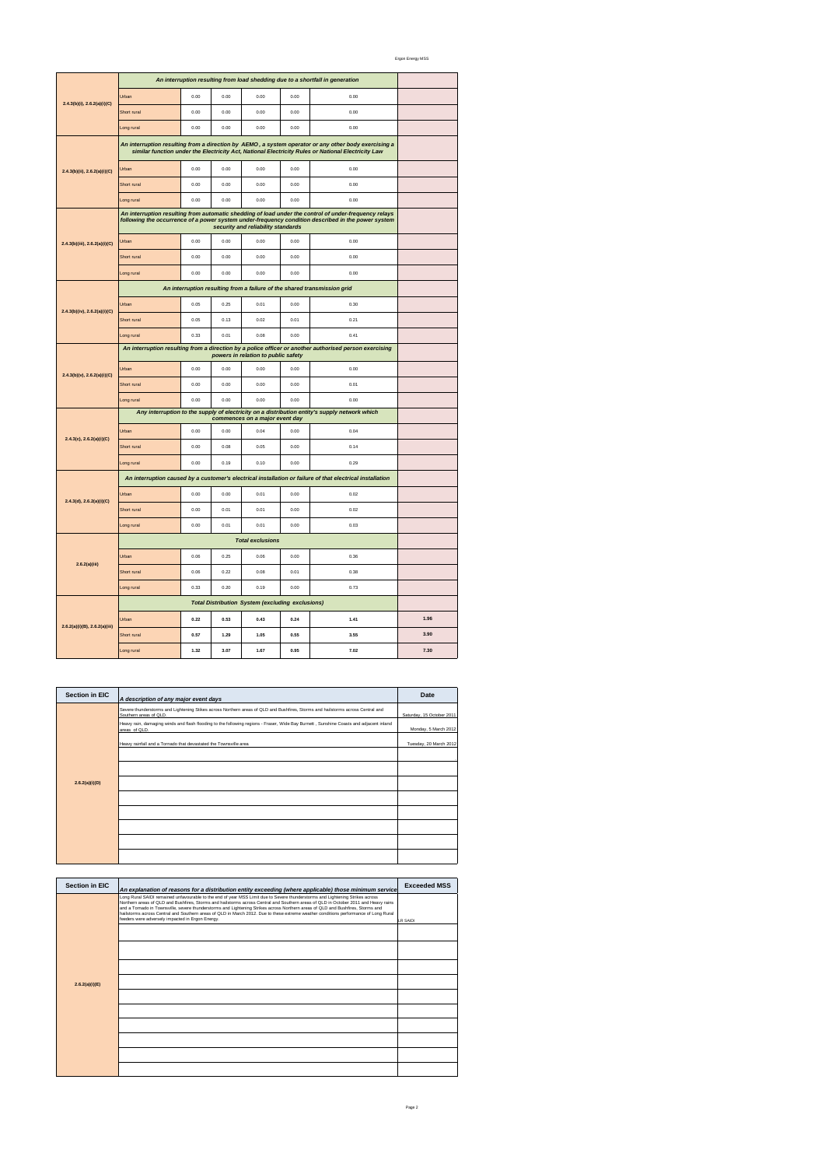Ergon Energy MSS

Page 2

| <b>Section in EIC</b> | A description of any major event days                                                                                                                     | Date                      |
|-----------------------|-----------------------------------------------------------------------------------------------------------------------------------------------------------|---------------------------|
|                       | Severe thunderstorms and Lightening Stikes across Northern areas of QLD and Bushfires, Storms and hailstorms across Central and<br>Southern areas of QLD. | Saturday, 15 October 2011 |
|                       | Heavy rain, damaging winds and flash flooding to the following regions - Fraser, Wide Bay Burnett, Sunshine Coasts and adjacent inland<br>areas of QLD.   | Monday, 5 March 2012      |
|                       | Heavy rainfall and a Tornado that devastated the Townsville area                                                                                          | Tuesday, 20 March 2012    |
|                       |                                                                                                                                                           |                           |
| 2.6.2(a)(i)(D)        |                                                                                                                                                           |                           |
|                       |                                                                                                                                                           |                           |
|                       |                                                                                                                                                           |                           |
|                       |                                                                                                                                                           |                           |
|                       |                                                                                                                                                           |                           |
|                       |                                                                                                                                                           |                           |

| $2.4.3(b)(i)$ , $2.6.2(a)(i)(C)$ | An interruption resulting from load shedding due to a shortfall in generation                                                                                                                               |      |      |                                                         |      |                                                                          |      |
|----------------------------------|-------------------------------------------------------------------------------------------------------------------------------------------------------------------------------------------------------------|------|------|---------------------------------------------------------|------|--------------------------------------------------------------------------|------|
|                                  | Urban                                                                                                                                                                                                       | 0.00 | 0.00 | 0.00                                                    | 0.00 | 0.00                                                                     |      |
|                                  | Short rural                                                                                                                                                                                                 | 0.00 | 0.00 | 0.00                                                    | 0.00 | 0.00                                                                     |      |
|                                  | Long rural                                                                                                                                                                                                  | 0.00 | 0.00 | 0.00                                                    | 0.00 | 0.00                                                                     |      |
|                                  | An interruption resulting from a direction by AEMO, a system operator or any other body exercising a<br>similar function under the Electricity Act, National Electricity Rules or National Electricity Law  |      |      |                                                         |      |                                                                          |      |
| 2.4.3(b)(ii), 2.6.2(a)(i)(C)     | Urban                                                                                                                                                                                                       | 0.00 | 0.00 | 0.00                                                    | 0.00 | 0.00                                                                     |      |
|                                  | Short rural                                                                                                                                                                                                 | 0.00 | 0.00 | 0.00                                                    | 0.00 | 0.00                                                                     |      |
|                                  | Long rural                                                                                                                                                                                                  | 0.00 | 0.00 | 0.00                                                    | 0.00 | 0.00                                                                     |      |
|                                  | An interruption resulting from automatic shedding of load under the control of under-frequency relays<br>following the occurrence of a power system under-frequency condition described in the power system |      |      |                                                         |      |                                                                          |      |
| 2.4.3(b)(iii), 2.6.2(a)(i)(C)    | Urban                                                                                                                                                                                                       | 0.00 | 0.00 | 0.00                                                    | 0.00 | 0.00                                                                     |      |
|                                  | Short rural                                                                                                                                                                                                 | 0.00 | 0.00 | 0.00                                                    | 0.00 | 0.00                                                                     |      |
|                                  | Long rural                                                                                                                                                                                                  | 0.00 | 0.00 | 0.00                                                    | 0.00 | 0.00                                                                     |      |
|                                  |                                                                                                                                                                                                             |      |      |                                                         |      | An interruption resulting from a failure of the shared transmission grid |      |
| 2.4.3(b)(iv), 2.6.2(a)(i)(C)     | Urban                                                                                                                                                                                                       | 0.05 | 0.25 | 0.01                                                    | 0.00 | 0.30                                                                     |      |
|                                  | Short rural                                                                                                                                                                                                 | 0.05 | 0.13 | 0.02                                                    | 0.01 | 0.21                                                                     |      |
|                                  | Long rural                                                                                                                                                                                                  | 0.33 | 0.01 | 0.08                                                    | 0.00 | 0.41                                                                     |      |
|                                  | An interruption resulting from a direction by a police officer or another authorised person exercising                                                                                                      |      |      |                                                         |      |                                                                          |      |
| $2.4.3(b)(v)$ , $2.6.2(a)(i)(C)$ | Urban                                                                                                                                                                                                       | 0.00 | 0.00 | 0.00                                                    | 0.00 | 0.00                                                                     |      |
|                                  | Short rural                                                                                                                                                                                                 | 0.00 | 0.00 | 0.00                                                    | 0.00 | 0.01                                                                     |      |
|                                  | Long rural                                                                                                                                                                                                  | 0.00 | 0.00 | 0.00                                                    | 0.00 | 0.00                                                                     |      |
|                                  | Any interruption to the supply of electricity on a distribution entity's supply network which                                                                                                               |      |      |                                                         |      |                                                                          |      |
| $2.4.3(c)$ , $2.6.2(a)(i)(C)$    | Urban                                                                                                                                                                                                       | 0.00 | 0.00 | 0.04                                                    | 0.00 | 0.04                                                                     |      |
|                                  | Short rural                                                                                                                                                                                                 | 0.00 | 0.08 | 0.05                                                    | 0.00 | 0.14                                                                     |      |
|                                  | Long rural                                                                                                                                                                                                  | 0.00 | 0.19 | 0.10                                                    | 0.00 | 0.29                                                                     |      |
|                                  | An interruption caused by a customer's electrical installation or failure of that electrical installation                                                                                                   |      |      |                                                         |      |                                                                          |      |
| 2.4.3(d), 2.6.2(a)(i)(C)         | Urban                                                                                                                                                                                                       | 0.00 | 0.00 | 0.01                                                    | 0.00 | 0.02                                                                     |      |
|                                  | Short rural                                                                                                                                                                                                 | 0.00 | 0.01 | 0.01                                                    | 0.00 | 0.02                                                                     |      |
|                                  | Long rural                                                                                                                                                                                                  | 0.00 | 0.01 | 0.01                                                    | 0.00 | 0.03                                                                     |      |
| 2.6.2(a)(iii)                    |                                                                                                                                                                                                             |      |      | <b>Total exclusions</b>                                 |      |                                                                          |      |
|                                  | Urban                                                                                                                                                                                                       | 0.06 | 0.25 | 0.06                                                    | 0.00 | 0.36                                                                     |      |
|                                  | Short rural                                                                                                                                                                                                 | 0.06 | 0.22 | 0.08                                                    | 0.01 | 0.38                                                                     |      |
|                                  | Long rural                                                                                                                                                                                                  | 0.33 | 0.20 | 0.19                                                    | 0.00 | 0.73                                                                     |      |
|                                  |                                                                                                                                                                                                             |      |      | <b>Total Distribution System (excluding exclusions)</b> |      |                                                                          |      |
| 2.6.2(a)(i)(B), 2.6.2(a)(iii)    | Urban                                                                                                                                                                                                       | 0.22 | 0.53 | 0.43                                                    | 0.24 | 1.41                                                                     | 1.96 |
|                                  | Short rural                                                                                                                                                                                                 | 0.57 | 1.29 | 1.05                                                    | 0.55 | 3.55                                                                     | 3.90 |
|                                  | ong rural                                                                                                                                                                                                   | 1.32 | 3.07 | 1.67                                                    | 0.95 | 7.02                                                                     | 7.30 |

| <b>Section in EIC</b> | An explanation of reasons for a distribution entity exceeding (where applicable) those minimum service                                                                                                                                                                                                                                                                                                                                                                                                                                                                                              | <b>Exceeded MSS</b> |
|-----------------------|-----------------------------------------------------------------------------------------------------------------------------------------------------------------------------------------------------------------------------------------------------------------------------------------------------------------------------------------------------------------------------------------------------------------------------------------------------------------------------------------------------------------------------------------------------------------------------------------------------|---------------------|
|                       | Long Rural SAIDI remained unfavourable to the end of year MSS Limit due to Severe thunderstorms and Lightening Strikes across<br>Northern areas of QLD and Bushfires, Storms and hailstorms across Central and Southern areas of QLD in October 2011 and Heavy rains<br>and a Tornado in Townsville, severe thunderstorms and Lightening Strikes across Northern areas of QLD and Bushfires, Storms and<br>hailstorms across Central and Southern areas of QLD in March 2012. Due to these extreme weather conditions performance of Long Rural<br>feeders were adversely impacted in Ergon Energy. | <b>LR SAIDI</b>     |
|                       |                                                                                                                                                                                                                                                                                                                                                                                                                                                                                                                                                                                                     |                     |
|                       |                                                                                                                                                                                                                                                                                                                                                                                                                                                                                                                                                                                                     |                     |
|                       |                                                                                                                                                                                                                                                                                                                                                                                                                                                                                                                                                                                                     |                     |
| 2.6.2(a)(i)(E)        |                                                                                                                                                                                                                                                                                                                                                                                                                                                                                                                                                                                                     |                     |
|                       |                                                                                                                                                                                                                                                                                                                                                                                                                                                                                                                                                                                                     |                     |
|                       |                                                                                                                                                                                                                                                                                                                                                                                                                                                                                                                                                                                                     |                     |
|                       |                                                                                                                                                                                                                                                                                                                                                                                                                                                                                                                                                                                                     |                     |
|                       |                                                                                                                                                                                                                                                                                                                                                                                                                                                                                                                                                                                                     |                     |
|                       |                                                                                                                                                                                                                                                                                                                                                                                                                                                                                                                                                                                                     |                     |
|                       |                                                                                                                                                                                                                                                                                                                                                                                                                                                                                                                                                                                                     |                     |